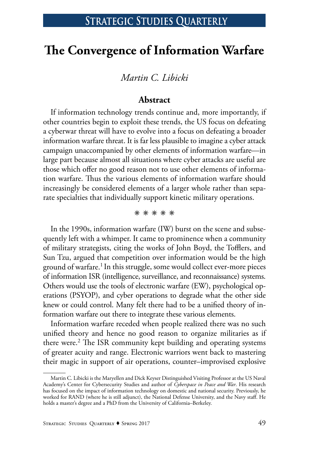# **The Convergence of Information Warfare**

*Martin C. Libicki*

### **Abstract**

If information technology trends continue and, more importantly, if other countries begin to exploit these trends, the US focus on defeating a cyberwar threat will have to evolve into a focus on defeating a broader information warfare threat. It is far less plausible to imagine a cyber attack campaign unaccompanied by other elements of information warfare—in large part because almost all situations where cyber attacks are useful are those which offer no good reason not to use other elements of information warfare. Thus the various elements of information warfare should increasingly be considered elements of a larger whole rather than separate specialties that individually support kinetic military operations.

✵ ✵ ✵ ✵ ✵

In the 1990s, information warfare (IW) burst on the scene and subsequently left with a whimper. It came to prominence when a community of military strategists, citing the works of John Boyd, the Tofflers, and Sun Tzu, argued that competition over information would be the high ground of warfare.<sup>1</sup> In this struggle, some would collect ever-more pieces of information ISR (intelligence, surveillance, and reconnaissance) systems. Others would use the tools of electronic warfare (EW), psychological operations (PSYOP), and cyber operations to degrade what the other side knew or could control. Many felt there had to be a unified theory of information warfare out there to integrate these various elements.

Information warfare receded when people realized there was no such unified theory and hence no good reason to organize militaries as if there were.<sup>2</sup> The ISR community kept building and operating systems of greater acuity and range. Electronic warriors went back to mastering their magic in support of air operations, counter–improvised explosive

Martin C. Libicki is the Maryellen and Dick Keyser Distinguished Visiting Professor at the US Naval Academy's Center for Cybersecurity Studies and author of *Cyberspace in Peace and War*. His research has focused on the impact of information technology on domestic and national security. Previously, he worked for RAND (where he is still adjunct), the National Defense University, and the Navy staff. He holds a master's degree and a PhD from the University of California–Berkeley.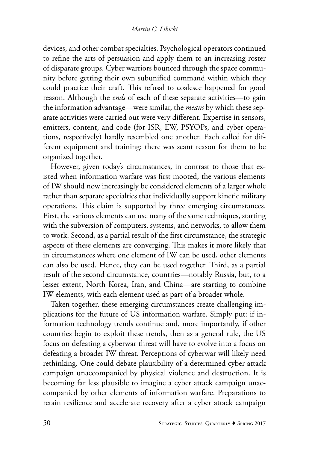devices, and other combat specialties. Psychological operators continued to refine the arts of persuasion and apply them to an increasing roster of disparate groups. Cyber warriors bounced through the space community before getting their own subunified command within which they could practice their craft. This refusal to coalesce happened for good reason. Although the *ends* of each of these separate activities—to gain the information advantage—were similar, the *means* by which these separate activities were carried out were very different. Expertise in sensors, emitters, content, and code (for ISR, EW, PSYOPs, and cyber operations, respectively) hardly resembled one another. Each called for different equipment and training; there was scant reason for them to be organized together.

However, given today's circumstances, in contrast to those that existed when information warfare was first mooted, the various elements of IW should now increasingly be considered elements of a larger whole rather than separate specialties that individually support kinetic military operations. This claim is supported by three emerging circumstances. First, the various elements can use many of the same techniques, starting with the subversion of computers, systems, and networks, to allow them to work. Second, as a partial result of the first circumstance, the strategic aspects of these elements are converging. This makes it more likely that in circumstances where one element of IW can be used, other elements can also be used. Hence, they can be used together. Third, as a partial result of the second circumstance, countries—notably Russia, but, to a lesser extent, North Korea, Iran, and China—are starting to combine IW elements, with each element used as part of a broader whole.

Taken together, these emerging circumstances create challenging implications for the future of US information warfare. Simply put: if information technology trends continue and, more importantly, if other countries begin to exploit these trends, then as a general rule, the US focus on defeating a cyberwar threat will have to evolve into a focus on defeating a broader IW threat. Perceptions of cyberwar will likely need rethinking. One could debate plausibility of a determined cyber attack campaign unaccompanied by physical violence and destruction. It is becoming far less plausible to imagine a cyber attack campaign unaccompanied by other elements of information warfare. Preparations to retain resilience and accelerate recovery after a cyber attack campaign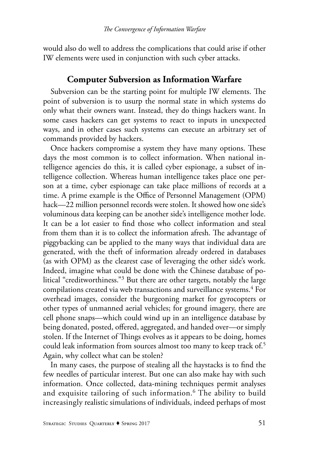would also do well to address the complications that could arise if other IW elements were used in conjunction with such cyber attacks.

### **Computer Subversion as Information Warfare**

Subversion can be the starting point for multiple IW elements. The point of subversion is to usurp the normal state in which systems do only what their owners want. Instead, they do things hackers want. In some cases hackers can get systems to react to inputs in unexpected ways, and in other cases such systems can execute an arbitrary set of commands provided by hackers.

Once hackers compromise a system they have many options. These days the most common is to collect information. When national intelligence agencies do this, it is called cyber espionage, a subset of intelligence collection. Whereas human intelligence takes place one person at a time, cyber espionage can take place millions of records at a time. A prime example is the Office of Personnel Management (OPM) hack—22 million personnel records were stolen. It showed how one side's voluminous data keeping can be another side's intelligence mother lode. It can be a lot easier to find those who collect information and steal from them than it is to collect the information afresh. The advantage of piggybacking can be applied to the many ways that individual data are generated, with the theft of information already ordered in databases (as with OPM) as the clearest case of leveraging the other side's work. Indeed, imagine what could be done with the Chinese database of political "creditworthiness."3 But there are other targets, notably the large compilations created via web transactions and surveillance systems.4 For overhead images, consider the burgeoning market for gyrocopters or other types of unmanned aerial vehicles; for ground imagery, there are cell phone snaps—which could wind up in an intelligence database by being donated, posted, offered, aggregated, and handed over—or simply stolen. If the Internet of Things evolves as it appears to be doing, homes could leak information from sources almost too many to keep track of.<sup>5</sup> Again, why collect what can be stolen?

In many cases, the purpose of stealing all the haystacks is to find the few needles of particular interest. But one can also make hay with such information. Once collected, data-mining techniques permit analyses and exquisite tailoring of such information.<sup>6</sup> The ability to build increasingly realistic simulations of individuals, indeed perhaps of most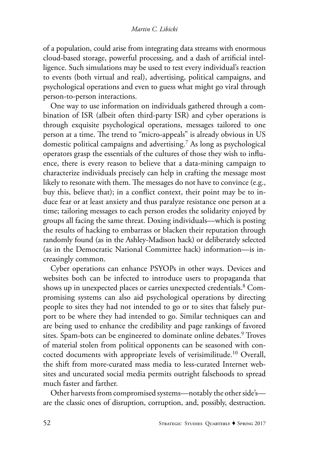of a population, could arise from integrating data streams with enormous cloud-based storage, powerful processing, and a dash of artificial intelligence. Such simulations may be used to test every individual's reaction to events (both virtual and real), advertising, political campaigns, and psychological operations and even to guess what might go viral through person-to-person interactions.

One way to use information on individuals gathered through a combination of ISR (albeit often third-party ISR) and cyber operations is through exquisite psychological operations, messages tailored to one person at a time. The trend to "micro-appeals" is already obvious in US domestic political campaigns and advertising.7 As long as psychological operators grasp the essentials of the cultures of those they wish to influence, there is every reason to believe that a data-mining campaign to characterize individuals precisely can help in crafting the message most likely to resonate with them. The messages do not have to convince (e.g., buy this, believe that); in a conflict context, their point may be to induce fear or at least anxiety and thus paralyze resistance one person at a time; tailoring messages to each person erodes the solidarity enjoyed by groups all facing the same threat. Doxing individuals—which is posting the results of hacking to embarrass or blacken their reputation through randomly found (as in the Ashley-Madison hack) or deliberately selected (as in the Democratic National Committee hack) information—is increasingly common.

Cyber operations can enhance PSYOPs in other ways. Devices and websites both can be infected to introduce users to propaganda that shows up in unexpected places or carries unexpected credentials. $^8$  Compromising systems can also aid psychological operations by directing people to sites they had not intended to go or to sites that falsely purport to be where they had intended to go. Similar techniques can and are being used to enhance the credibility and page rankings of favored sites. Spam-bots can be engineered to dominate online debates.<sup>9</sup> Troves of material stolen from political opponents can be seasoned with concocted documents with appropriate levels of verisimilitude.<sup>10</sup> Overall, the shift from more-curated mass media to less-curated Internet websites and uncurated social media permits outright falsehoods to spread much faster and farther.

Other harvests from compromised systems—notably the other side's are the classic ones of disruption, corruption, and, possibly, destruction.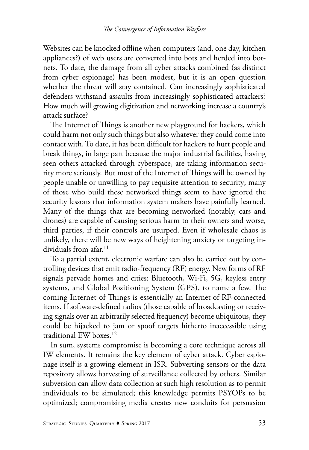Websites can be knocked offline when computers (and, one day, kitchen appliances?) of web users are converted into bots and herded into botnets. To date, the damage from all cyber attacks combined (as distinct from cyber espionage) has been modest, but it is an open question whether the threat will stay contained. Can increasingly sophisticated defenders withstand assaults from increasingly sophisticated attackers? How much will growing digitization and networking increase a country's attack surface?

The Internet of Things is another new playground for hackers, which could harm not only such things but also whatever they could come into contact with. To date, it has been difficult for hackers to hurt people and break things, in large part because the major industrial facilities, having seen others attacked through cyberspace, are taking information security more seriously. But most of the Internet of Things will be owned by people unable or unwilling to pay requisite attention to security; many of those who build these networked things seem to have ignored the security lessons that information system makers have painfully learned. Many of the things that are becoming networked (notably, cars and drones) are capable of causing serious harm to their owners and worse, third parties, if their controls are usurped. Even if wholesale chaos is unlikely, there will be new ways of heightening anxiety or targeting individuals from afar.<sup>11</sup>

To a partial extent, electronic warfare can also be carried out by controlling devices that emit radio-frequency (RF) energy. New forms of RF signals pervade homes and cities: Bluetooth, Wi-Fi, 5G, keyless entry systems, and Global Positioning System (GPS), to name a few. The coming Internet of Things is essentially an Internet of RF-connected items. If software-defined radios (those capable of broadcasting or receiving signals over an arbitrarily selected frequency) become ubiquitous, they could be hijacked to jam or spoof targets hitherto inaccessible using traditional EW boxes.12

In sum, systems compromise is becoming a core technique across all IW elements. It remains the key element of cyber attack. Cyber espionage itself is a growing element in ISR. Subverting sensors or the data repository allows harvesting of surveillance collected by others. Similar subversion can allow data collection at such high resolution as to permit individuals to be simulated; this knowledge permits PSYOPs to be optimized; compromising media creates new conduits for persuasion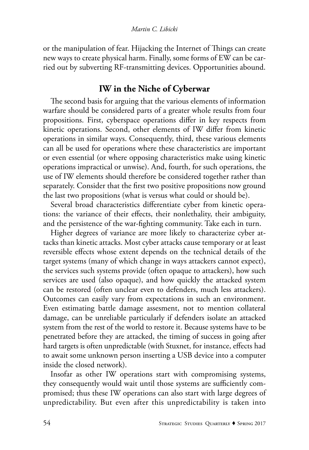or the manipulation of fear. Hijacking the Internet of Things can create new ways to create physical harm. Finally, some forms of EW can be carried out by subverting RF-transmitting devices. Opportunities abound.

### **IW in the Niche of Cyberwar**

The second basis for arguing that the various elements of information warfare should be considered parts of a greater whole results from four propositions. First, cyberspace operations differ in key respects from kinetic operations. Second, other elements of IW differ from kinetic operations in similar ways. Consequently, third, these various elements can all be used for operations where these characteristics are important or even essential (or where opposing characteristics make using kinetic operations impractical or unwise). And, fourth, for such operations, the use of IW elements should therefore be considered together rather than separately. Consider that the first two positive propositions now ground the last two propositions (what is versus what could or should be).

Several broad characteristics differentiate cyber from kinetic operations: the variance of their effects, their nonlethality, their ambiguity, and the persistence of the war-fighting community. Take each in turn.

Higher degrees of variance are more likely to characterize cyber attacks than kinetic attacks. Most cyber attacks cause temporary or at least reversible effects whose extent depends on the technical details of the target systems (many of which change in ways attackers cannot expect), the services such systems provide (often opaque to attackers), how such services are used (also opaque), and how quickly the attacked system can be restored (often unclear even to defenders, much less attackers). Outcomes can easily vary from expectations in such an environment. Even estimating battle damage assesment, not to mention collateral damage, can be unreliable particularly if defenders isolate an attacked system from the rest of the world to restore it. Because systems have to be penetrated before they are attacked, the timing of success in going after hard targets is often unpredictable (with Stuxnet, for instance, effects had to await some unknown person inserting a USB device into a computer inside the closed network).

Insofar as other IW operations start with compromising systems, they consequently would wait until those systems are sufficiently compromised; thus these IW operations can also start with large degrees of unpredictability. But even after this unpredictability is taken into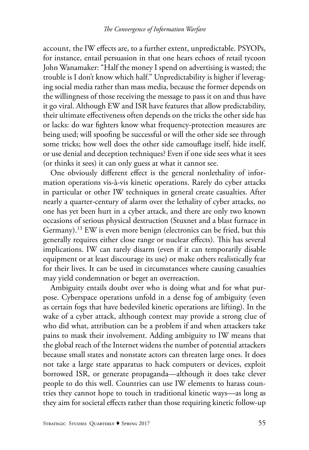account, the IW effects are, to a further extent, unpredictable. PSYOPs, for instance, entail persuasion in that one hears echoes of retail tycoon John Wanamaker: "Half the money I spend on advertising is wasted; the trouble is I don't know which half." Unpredictability is higher if leveraging social media rather than mass media, because the former depends on the willingness of those receiving the message to pass it on and thus have it go viral. Although EW and ISR have features that allow predictability, their ultimate effectiveness often depends on the tricks the other side has or lacks: do war fighters know what frequency-protection measures are being used; will spoofing be successful or will the other side see through some tricks; how well does the other side camouflage itself, hide itself, or use denial and deception techniques? Even if one side sees what it sees (or thinks it sees) it can only guess at what it cannot see.

One obviously different effect is the general nonlethality of information operations vis-à-vis kinetic operations. Rarely do cyber attacks in particular or other IW techniques in general create casualties. After nearly a quarter-century of alarm over the lethality of cyber attacks, no one has yet been hurt in a cyber attack, and there are only two known occasions of serious physical destruction (Stuxnet and a blast furnace in Germany).<sup>13</sup> EW is even more benign (electronics can be fried, but this generally requires either close range or nuclear effects). This has several implications. IW can rarely disarm (even if it can temporarily disable equipment or at least discourage its use) or make others realistically fear for their lives. It can be used in circumstances where causing casualties may yield condemnation or beget an overreaction.

Ambiguity entails doubt over who is doing what and for what purpose. Cyberspace operations unfold in a dense fog of ambiguity (even as certain fogs that have bedeviled kinetic operations are lifting). In the wake of a cyber attack, although context may provide a strong clue of who did what, attribution can be a problem if and when attackers take pains to mask their involvement. Adding ambiguity to IW means that the global reach of the Internet widens the number of potential attackers because small states and nonstate actors can threaten large ones. It does not take a large state apparatus to hack computers or devices, exploit borrowed ISR, or generate propaganda—although it does take clever people to do this well. Countries can use IW elements to harass countries they cannot hope to touch in traditional kinetic ways—as long as they aim for societal effects rather than those requiring kinetic follow-up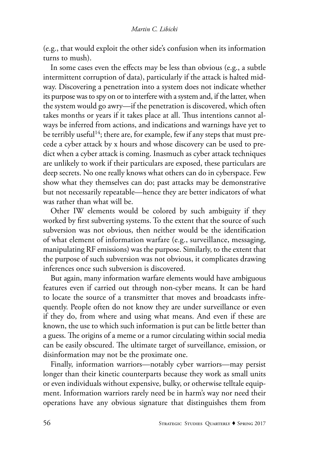(e.g., that would exploit the other side's confusion when its information turns to mush).

In some cases even the effects may be less than obvious (e.g., a subtle intermittent corruption of data), particularly if the attack is halted midway. Discovering a penetration into a system does not indicate whether its purpose was to spy on or to interfere with a system and, if the latter, when the system would go awry—if the penetration is discovered, which often takes months or years if it takes place at all. Thus intentions cannot always be inferred from actions, and indications and warnings have yet to be terribly useful<sup>14</sup>; there are, for example, few if any steps that must precede a cyber attack by x hours and whose discovery can be used to predict when a cyber attack is coming. Inasmuch as cyber attack techniques are unlikely to work if their particulars are exposed, these particulars are deep secrets. No one really knows what others can do in cyberspace. Few show what they themselves can do; past attacks may be demonstrative but not necessarily repeatable—hence they are better indicators of what was rather than what will be.

Other IW elements would be colored by such ambiguity if they worked by first subverting systems. To the extent that the source of such subversion was not obvious, then neither would be the identification of what element of information warfare (e.g., surveillance, messaging, manipulating RF emissions) was the purpose. Similarly, to the extent that the purpose of such subversion was not obvious, it complicates drawing inferences once such subversion is discovered.

But again, many information warfare elements would have ambiguous features even if carried out through non-cyber means. It can be hard to locate the source of a transmitter that moves and broadcasts infrequently. People often do not know they are under surveillance or even if they do, from where and using what means. And even if these are known, the use to which such information is put can be little better than a guess. The origins of a meme or a rumor circulating within social media can be easily obscured. The ultimate target of surveillance, emission, or disinformation may not be the proximate one.

Finally, information warriors—notably cyber warriors—may persist longer than their kinetic counterparts because they work as small units or even individuals without expensive, bulky, or otherwise telltale equipment. Information warriors rarely need be in harm's way nor need their operations have any obvious signature that distinguishes them from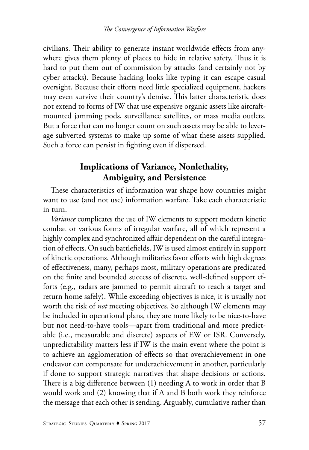civilians. Their ability to generate instant worldwide effects from anywhere gives them plenty of places to hide in relative safety. Thus it is hard to put them out of commission by attacks (and certainly not by cyber attacks). Because hacking looks like typing it can escape casual oversight. Because their efforts need little specialized equipment, hackers may even survive their country's demise. This latter characteristic does not extend to forms of IW that use expensive organic assets like aircraftmounted jamming pods, surveillance satellites, or mass media outlets. But a force that can no longer count on such assets may be able to leverage subverted systems to make up some of what these assets supplied. Such a force can persist in fighting even if dispersed.

# **Implications of Variance, Nonlethality, Ambiguity, and Persistence**

These characteristics of information war shape how countries might want to use (and not use) information warfare. Take each characteristic in turn.

*Variance* complicates the use of IW elements to support modern kinetic combat or various forms of irregular warfare, all of which represent a highly complex and synchronized affair dependent on the careful integration of effects. On such battlefields, IW is used almost entirely in support of kinetic operations. Although militaries favor efforts with high degrees of effectiveness, many, perhaps most, military operations are predicated on the finite and bounded success of discrete, well-defined support efforts (e.g., radars are jammed to permit aircraft to reach a target and return home safely). While exceeding objectives is nice, it is usually not worth the risk of *not* meeting objectives. So although IW elements may be included in operational plans, they are more likely to be nice-to-have but not need-to-have tools—apart from traditional and more predictable (i.e., measurable and discrete) aspects of EW or ISR. Conversely, unpredictability matters less if IW is the main event where the point is to achieve an agglomeration of effects so that overachievement in one endeavor can compensate for underachievement in another, particularly if done to support strategic narratives that shape decisions or actions. There is a big difference between (1) needing A to work in order that B would work and (2) knowing that if A and B both work they reinforce the message that each other is sending. Arguably, cumulative rather than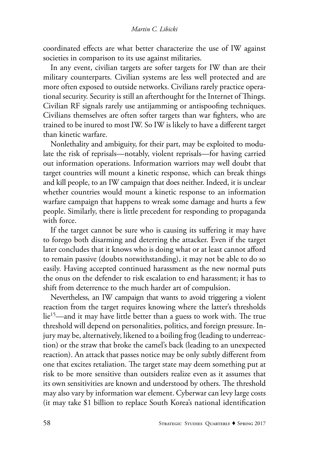coordinated effects are what better characterize the use of IW against societies in comparison to its use against militaries.

In any event, civilian targets are softer targets for IW than are their military counterparts. Civilian systems are less well protected and are more often exposed to outside networks. Civilians rarely practice operational security. Security is still an afterthought for the Internet of Things. Civilian RF signals rarely use antijamming or antispoofing techniques. Civilians themselves are often softer targets than war fighters, who are trained to be inured to most IW. So IW is likely to have a different target than kinetic warfare.

Nonlethality and ambiguity, for their part, may be exploited to modulate the risk of reprisals—notably, violent reprisals—for having carried out information operations. Information warriors may well doubt that target countries will mount a kinetic response, which can break things and kill people, to an IW campaign that does neither. Indeed, it is unclear whether countries would mount a kinetic response to an information warfare campaign that happens to wreak some damage and hurts a few people. Similarly, there is little precedent for responding to propaganda with force.

If the target cannot be sure who is causing its suffering it may have to forego both disarming and deterring the attacker. Even if the target later concludes that it knows who is doing what or at least cannot afford to remain passive (doubts notwithstanding), it may not be able to do so easily. Having accepted continued harassment as the new normal puts the onus on the defender to risk escalation to end harassment; it has to shift from deterrence to the much harder art of compulsion.

Nevertheless, an IW campaign that wants to avoid triggering a violent reaction from the target requires knowing where the latter's thresholds lie<sup>15</sup>—and it may have little better than a guess to work with. The true threshold will depend on personalities, politics, and foreign pressure. Injury may be, alternatively, likened to a boiling frog (leading to underreaction) or the straw that broke the camel's back (leading to an unexpected reaction). An attack that passes notice may be only subtly different from one that excites retaliation. The target state may deem something put at risk to be more sensitive than outsiders realize even as it assumes that its own sensitivities are known and understood by others. The threshold may also vary by information war element. Cyberwar can levy large costs (it may take \$1 billion to replace South Korea's national identification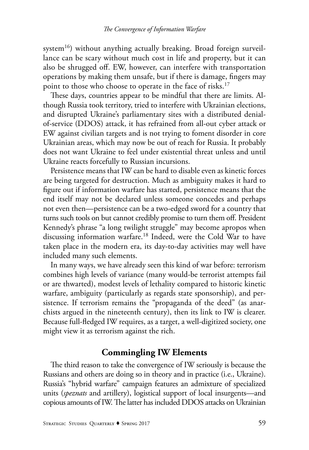system<sup>16</sup>) without anything actually breaking. Broad foreign surveillance can be scary without much cost in life and property, but it can also be shrugged off. EW, however, can interfere with transportation operations by making them unsafe, but if there is damage, fingers may point to those who choose to operate in the face of risks.<sup>17</sup>

These days, countries appear to be mindful that there are limits. Although Russia took territory, tried to interfere with Ukrainian elections, and disrupted Ukraine's parliamentary sites with a distributed denialof-service (DDOS) attack, it has refrained from all-out cyber attack or EW against civilian targets and is not trying to foment disorder in core Ukrainian areas, which may now be out of reach for Russia. It probably does not want Ukraine to feel under existential threat unless and until Ukraine reacts forcefully to Russian incursions.

Persistence means that IW can be hard to disable even as kinetic forces are being targeted for destruction. Much as ambiguity makes it hard to figure out if information warfare has started, persistence means that the end itself may not be declared unless someone concedes and perhaps not even then—persistence can be a two-edged sword for a country that turns such tools on but cannot credibly promise to turn them off. President Kennedy's phrase "a long twilight struggle" may become apropos when discussing information warfare.<sup>18</sup> Indeed, were the Cold War to have taken place in the modern era, its day-to-day activities may well have included many such elements.

In many ways, we have already seen this kind of war before: terrorism combines high levels of variance (many would-be terrorist attempts fail or are thwarted), modest levels of lethality compared to historic kinetic warfare, ambiguity (particularly as regards state sponsorship), and persistence. If terrorism remains the "propaganda of the deed" (as anarchists argued in the nineteenth century), then its link to IW is clearer. Because full-fledged IW requires, as a target, a well-digitized society, one might view it as terrorism against the rich.

## **Commingling IW Elements**

The third reason to take the convergence of IW seriously is because the Russians and others are doing so in theory and in practice (i.e., Ukraine). Russia's "hybrid warfare" campaign features an admixture of specialized units (*speznats* and artillery), logistical support of local insurgents—and copious amounts of IW. The latter has included DDOS attacks on Ukrainian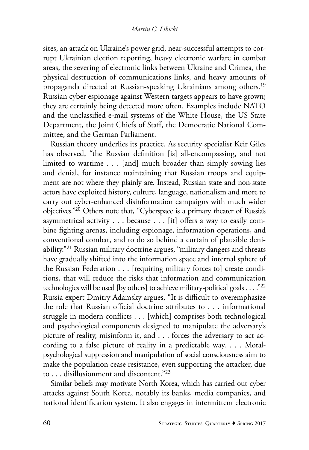sites, an attack on Ukraine's power grid, near-successful attempts to corrupt Ukrainian election reporting, heavy electronic warfare in combat areas, the severing of electronic links between Ukraine and Crimea, the physical destruction of communications links, and heavy amounts of propaganda directed at Russian-speaking Ukrainians among others.19 Russian cyber espionage against Western targets appears to have grown; they are certainly being detected more often. Examples include NATO and the unclassified e-mail systems of the White House, the US State Department, the Joint Chiefs of Staff, the Democratic National Committee, and the German Parliament.

Russian theory underlies its practice. As security specialist Keir Giles has observed, "the Russian definition [is] all-encompassing, and not limited to wartime . . . [and] much broader than simply sowing lies and denial, for instance maintaining that Russian troops and equipment are not where they plainly are. Instead, Russian state and non-state actors have exploited history, culture, language, nationalism and more to carry out cyber-enhanced disinformation campaigns with much wider objectives."20 Others note that, "Cyberspace is a primary theater of Russia's asymmetrical activity . . . because . . . [it] offers a way to easily combine fighting arenas, including espionage, information operations, and conventional combat, and to do so behind a curtain of plausible deniability."21 Russian military doctrine argues, "military dangers and threats have gradually shifted into the information space and internal sphere of the Russian Federation . . . [requiring military forces to] create conditions, that will reduce the risks that information and communication technologies will be used [by others] to achieve military-political goals  $\dots$ ."22 Russia expert Dmitry Adamsky argues, "It is difficult to overemphasize the role that Russian official doctrine attributes to . . . informational struggle in modern conflicts . . . [which] comprises both technological and psychological components designed to manipulate the adversary's picture of reality, misinform it, and . . . forces the adversary to act according to a false picture of reality in a predictable way. . . . Moralpsychological suppression and manipulation of social consciousness aim to make the population cease resistance, even supporting the attacker, due to . . . disillusionment and discontent."23

Similar beliefs may motivate North Korea, which has carried out cyber attacks against South Korea, notably its banks, media companies, and national identification system. It also engages in intermittent electronic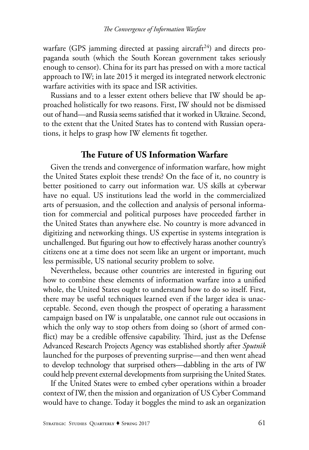warfare (GPS jamming directed at passing aircraft<sup>24</sup>) and directs propaganda south (which the South Korean government takes seriously enough to censor). China for its part has pressed on with a more tactical approach to IW; in late 2015 it merged its integrated network electronic warfare activities with its space and ISR activities.

Russians and to a lesser extent others believe that IW should be approached holistically for two reasons. First, IW should not be dismissed out of hand—and Russia seems satisfied that it worked in Ukraine. Second, to the extent that the United States has to contend with Russian operations, it helps to grasp how IW elements fit together.

### **The Future of US Information Warfare**

Given the trends and convergence of information warfare, how might the United States exploit these trends? On the face of it, no country is better positioned to carry out information war. US skills at cyberwar have no equal. US institutions lead the world in the commercialized arts of persuasion, and the collection and analysis of personal information for commercial and political purposes have proceeded farther in the United States than anywhere else. No country is more advanced in digitizing and networking things. US expertise in systems integration is unchallenged. But figuring out how to effectively harass another country's citizens one at a time does not seem like an urgent or important, much less permissible, US national security problem to solve.

Nevertheless, because other countries are interested in figuring out how to combine these elements of information warfare into a unified whole, the United States ought to understand how to do so itself. First, there may be useful techniques learned even if the larger idea is unacceptable. Second, even though the prospect of operating a harassment campaign based on IW is unpalatable, one cannot rule out occasions in which the only way to stop others from doing so (short of armed conflict) may be a credible offensive capability. Third, just as the Defense Advanced Research Projects Agency was established shortly after *Sputnik*  launched for the purposes of preventing surprise—and then went ahead to develop technology that surprised others—dabbling in the arts of IW could help prevent external developments from surprising the United States.

If the United States were to embed cyber operations within a broader context of IW, then the mission and organization of US Cyber Command would have to change. Today it boggles the mind to ask an organization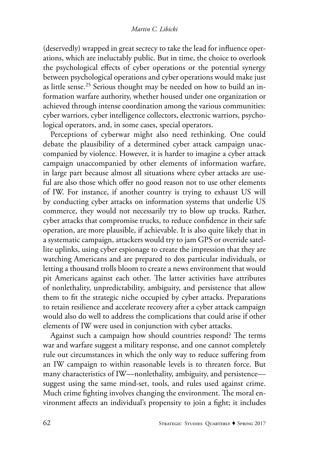(deservedly) wrapped in great secrecy to take the lead for influence operations, which are ineluctably public. But in time, the choice to overlook the psychological effects of cyber operations or the potential synergy between psychological operations and cyber operations would make just as little sense.<sup>25</sup> Serious thought may be needed on how to build an information warfare authority, whether housed under one organization or achieved through intense coordination among the various communities: cyber warriors, cyber intelligence collectors, electronic warriors, psychological operators, and, in some cases, special operators.

Perceptions of cyberwar might also need rethinking. One could debate the plausibility of a determined cyber attack campaign unaccompanied by violence. However, it is harder to imagine a cyber attack campaign unaccompanied by other elements of information warfare, in large part because almost all situations where cyber attacks are useful are also those which offer no good reason not to use other elements of IW. For instance, if another country is trying to exhaust US will by conducting cyber attacks on information systems that underlie US commerce, they would not necessarily try to blow up trucks. Rather, cyber attacks that compromise trucks, to reduce confidence in their safe operation, are more plausible, if achievable. It is also quite likely that in a systematic campaign, attackers would try to jam GPS or override satellite uplinks, using cyber espionage to create the impression that they are watching Americans and are prepared to dox particular individuals, or letting a thousand trolls bloom to create a news environment that would pit Americans against each other. The latter activities have attributes of nonlethality, unpredictability, ambiguity, and persistence that allow them to fit the strategic niche occupied by cyber attacks. Preparations to retain resilience and accelerate recovery after a cyber attack campaign would also do well to address the complications that could arise if other elements of IW were used in conjunction with cyber attacks.

Against such a campaign how should countries respond? The terms war and warfare suggest a military response, and one cannot completely rule out circumstances in which the only way to reduce suffering from an IW campaign to within reasonable levels is to threaten force. But many characteristics of IW—nonlethality, ambiguity, and persistence suggest using the same mind-set, tools, and rules used against crime. Much crime fighting involves changing the environment. The moral environment affects an individual's propensity to join a fight; it includes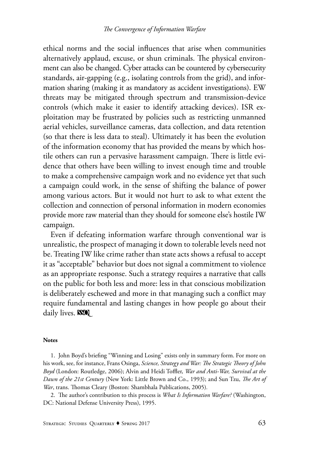ethical norms and the social influences that arise when communities alternatively applaud, excuse, or shun criminals. The physical environment can also be changed. Cyber attacks can be countered by cybersecurity standards, air-gapping (e.g., isolating controls from the grid), and information sharing (making it as mandatory as accident investigations). EW threats may be mitigated through spectrum and transmission-device controls (which make it easier to identify attacking devices). ISR exploitation may be frustrated by policies such as restricting unmanned aerial vehicles, surveillance cameras, data collection, and data retention (so that there is less data to steal). Ultimately it has been the evolution of the information economy that has provided the means by which hostile others can run a pervasive harassment campaign. There is little evidence that others have been willing to invest enough time and trouble to make a comprehensive campaign work and no evidence yet that such a campaign could work, in the sense of shifting the balance of power among various actors. But it would not hurt to ask to what extent the collection and connection of personal information in modern economies provide more raw material than they should for someone else's hostile IW campaign.

Even if defeating information warfare through conventional war is unrealistic, the prospect of managing it down to tolerable levels need not be. Treating IW like crime rather than state acts shows a refusal to accept it as "acceptable" behavior but does not signal a commitment to violence as an appropriate response. Such a strategy requires a narrative that calls on the public for both less and more: less in that conscious mobilization is deliberately eschewed and more in that managing such a conflict may require fundamental and lasting changes in how people go about their daily lives. **SSOL** 

#### **Notes**

1. John Boyd's briefing "Winning and Losing" exists only in summary form. For more on his work, see, for instance, Frans Osinga, *Science, Strategy and War: The Strategic Theory of John Boyd* (London: Routledge, 2006); Alvin and Heidi Toffler, *War and Anti-War, Survival at the Dawn of the 21st Century* (New York: Little Brown and Co., 1993); and Sun Tzu, *The Art of War*, trans. Thomas Cleary (Boston: Shambhala Publications, 2005)*.*

2. The author's contribution to this process is *What Is Information Warfare?* (Washington, DC: National Defense University Press), 1995.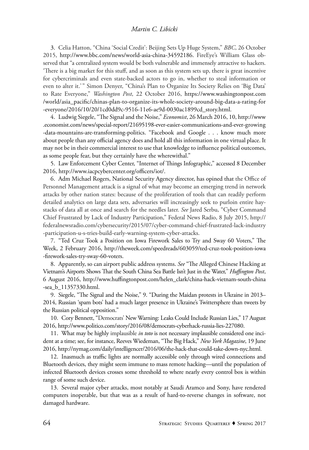#### *Martin C. Libicki*

3. Celia Hatton, "China 'Social Credit': Beijing Sets Up Huge System," *BBC*, 26 October 2015, <http://www.bbc.com/news/world-asia-china-34592186>. FireEye's William Glass observed that "a centralized system would be both vulnerable and immensely attractive to hackers. 'There is a big market for this stuff, and as soon as this system sets up, there is great incentive for cybercriminals and even state-backed actors to go in, whether to steal information or even to alter it.'" Simon Denyer, "China's Plan to Organize Its Society Relies on 'Big Data' to Rate Everyone," *Washington Post*, 22 October 2016, [https://www.washingtonpost.com](https://www.washingtonpost.com/world/asia_pacific/chinas-plan-to-organize-its-whole-society-around-big-data-a-rating-for-everyone/2016/10/20/1cd0dd9c-9516-11e6-ae9d-0030ac1899cd_story.html) [/world/asia\\_pacific/chinas-plan-to-organize-its-whole-society-around-big-data-a-rating-for](https://www.washingtonpost.com/world/asia_pacific/chinas-plan-to-organize-its-whole-society-around-big-data-a-rating-for-everyone/2016/10/20/1cd0dd9c-9516-11e6-ae9d-0030ac1899cd_story.html) [-everyone/2016/10/20/1cd0dd9c-9516-11e6-ae9d-0030ac1899cd\\_story.html.](https://www.washingtonpost.com/world/asia_pacific/chinas-plan-to-organize-its-whole-society-around-big-data-a-rating-for-everyone/2016/10/20/1cd0dd9c-9516-11e6-ae9d-0030ac1899cd_story.html)

4. Ludwig Siegele, "The Signal and the Noise," *Economist*, 26 March 2016, 10, http://www .economist.com/news/special-report/21695198-ever-easier-communications-and-ever-growing -data-mountains-are-transforming-politics. "Facebook and Google . . . know much more about people than any official agency does and hold all this information in one virtual place. It may not be in their commercial interest to use that knowledge to influence political outcomes, as some people fear, but they certainly have the wherewithal."

5. Law Enforcement Cyber Center, "Internet of Things Infographic," accessed 8 December 2016, http://www.iacpcybercenter.org/officers/iot/.

6. Adm Michael Rogers, National Security Agency director, has opined that the Office of Personnel Management attack is a signal of what may become an emerging trend in network attacks by other nation states: because of the proliferation of tools that can readily perform detailed analytics on large data sets, adversaries will increasingly seek to purloin entire haystacks of data all at once and search for the needles later. *See* Jared Serbu, "Cyber Command Chief Frustrated by Lack of Industry Participation," Federal News Radio, 8 July 2015, http:// federalnewsradio.com/cybersecurity/2015/07/cyber-command-chief-frustrated-lack-industry -participation-u-s-tries-build-early-warning-system-cyber-attacks.

7. "Ted Cruz Took a Position on Iowa Firework Sales to Try and Sway 60 Voters," The Week, 2 February 2016, http://theweek.com/speedreads/603059/ted-cruz-took-position-iowa -firework-sales-try-sway-60-voters.

8. Apparently, so can airport public address systems. *See* "The Alleged Chinese Hacking at Vietnam's Airports Shows That the South China Sea Battle Isn't Just in the Water," *Huffington Post*, 6 August 2016, http://www.huffingtonpost.com/helen\_clark/china-hack-vietnam-south-china -sea\_b\_11357330.html.

9. Siegele, "The Signal and the Noise," 9. "During the Maidan protests in Ukraine in 2013– 2014, Russian 'spam bots' had a much larger presence in Ukraine's Twittersphere than tweets by the Russian political opposition."

10. Cory Bennett, "Democrats' New Warning: Leaks Could Include Russian Lies," 17 August 2016, http://www.politico.com/story/2016/08/democrats-cyberhack-russia-lies-227080.

11. What may be highly implausible *in toto* is not necessary implausible considered one incident at a time; see, for instance, Reeves Wiedeman, "The Big Hack," *New York Magazine*, 19 June 2016, http://nymag.com/daily/intelligencer/2016/06/the-hack-that-could-take-down-nyc.html.

12. Inasmuch as traffic lights are normally accessible only through wired connections and Bluetooth devices, they might seem immune to mass remote hacking—until the population of infected Bluetooth devices crosses some threshold to where nearly every control box is within range of some such device.

13. Several major cyber attacks, most notably at Saudi Aramco and Sony, have rendered computers inoperable, but that was as a result of hard-to-reverse changes in software, not damaged hardware.